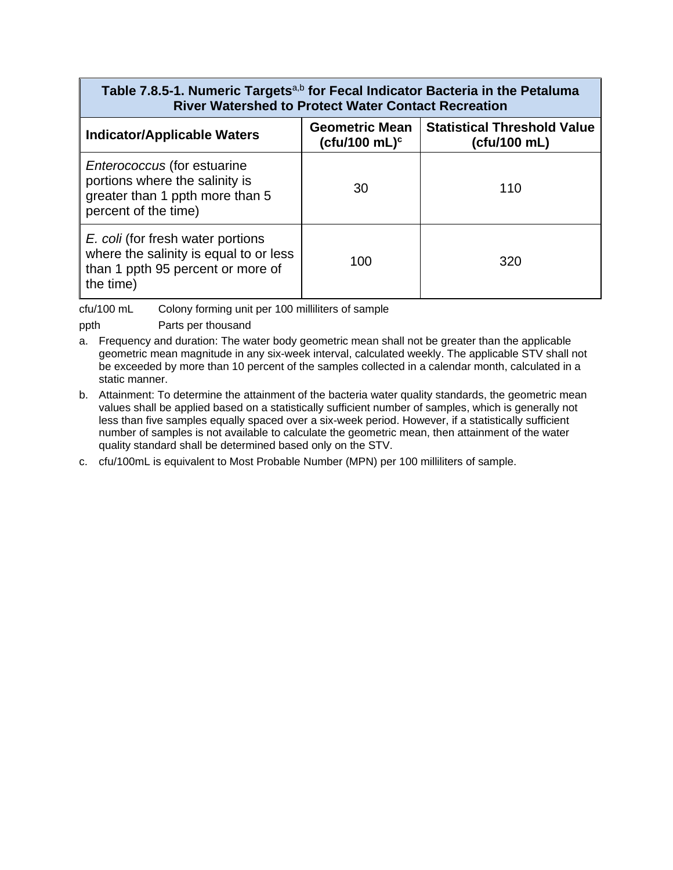### **Table 7.8.5-1. Numeric Targets**a,b **for Fecal Indicator Bacteria in the Petaluma River Watershed to Protect Water Contact Recreation**

| <b>Indicator/Applicable Waters</b>                                                                                              | <b>Geometric Mean</b><br>(cfu/100 mL) $c$ | <b>Statistical Threshold Value</b><br>(cfu/100 mL) |
|---------------------------------------------------------------------------------------------------------------------------------|-------------------------------------------|----------------------------------------------------|
| <i>Enterococcus</i> (for estuarine<br>portions where the salinity is<br>greater than 1 ppth more than 5<br>percent of the time) | 30                                        | 110                                                |
| E. coli (for fresh water portions<br>where the salinity is equal to or less<br>than 1 ppth 95 percent or more of<br>the time)   | 100                                       | 320                                                |

cfu/100 mL Colony forming unit per 100 milliliters of sample

ppth Parts per thousand

- a. Frequency and duration: The water body geometric mean shall not be greater than the applicable geometric mean magnitude in any six-week interval, calculated weekly. The applicable STV shall not be exceeded by more than 10 percent of the samples collected in a calendar month, calculated in a static manner.
- b. Attainment: To determine the attainment of the bacteria water quality standards, the geometric mean values shall be applied based on a statistically sufficient number of samples, which is generally not less than five samples equally spaced over a six-week period. However, if a statistically sufficient number of samples is not available to calculate the geometric mean, then attainment of the water quality standard shall be determined based only on the STV.
- c. cfu/100mL is equivalent to Most Probable Number (MPN) per 100 milliliters of sample.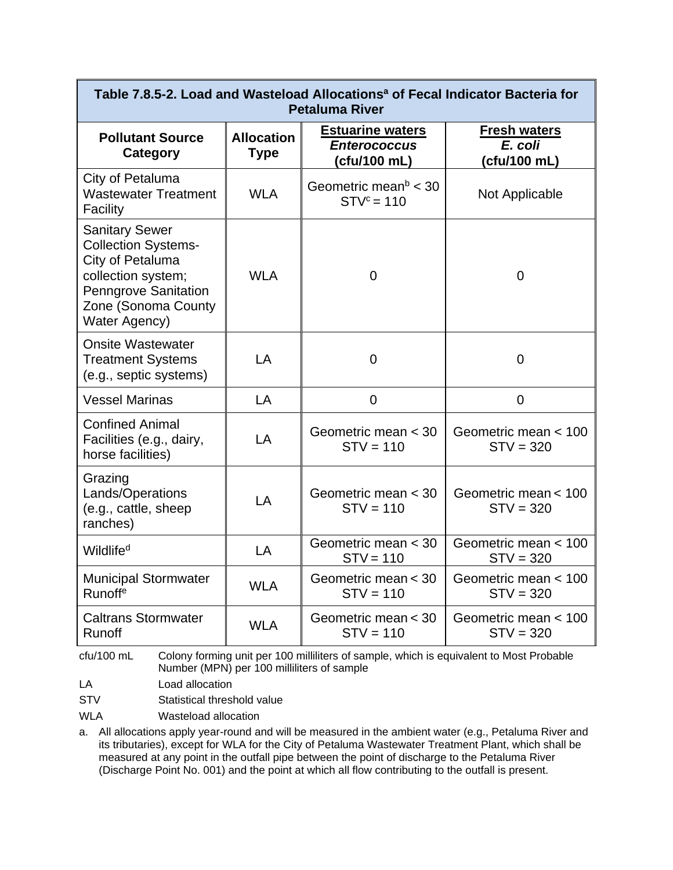| Table 7.8.5-2. Load and Wasteload Allocations <sup>a</sup> of Fecal Indicator Bacteria for<br><b>Petaluma River</b>                                                  |                                  |                                                                |                                                |
|----------------------------------------------------------------------------------------------------------------------------------------------------------------------|----------------------------------|----------------------------------------------------------------|------------------------------------------------|
| <b>Pollutant Source</b><br>Category                                                                                                                                  | <b>Allocation</b><br><b>Type</b> | <b>Estuarine waters</b><br><b>Enterococcus</b><br>(cfu/100 mL) | <b>Fresh waters</b><br>E. coli<br>(cfu/100 mL) |
| City of Petaluma<br><b>Wastewater Treatment</b><br>Facility                                                                                                          | <b>WLA</b>                       | Geometric mean $b < 30$<br>$STVc = 110$                        | Not Applicable                                 |
| <b>Sanitary Sewer</b><br><b>Collection Systems-</b><br>City of Petaluma<br>collection system;<br><b>Penngrove Sanitation</b><br>Zone (Sonoma County<br>Water Agency) | <b>WLA</b>                       | $\overline{0}$                                                 | $\mathbf 0$                                    |
| <b>Onsite Wastewater</b><br><b>Treatment Systems</b><br>(e.g., septic systems)                                                                                       | LA                               | $\overline{0}$                                                 | $\Omega$                                       |
| <b>Vessel Marinas</b>                                                                                                                                                | LA                               | $\overline{0}$                                                 | $\mathbf 0$                                    |
| <b>Confined Animal</b><br>Facilities (e.g., dairy,<br>horse facilities)                                                                                              | LA                               | Geometric mean < 30<br>$STV = 110$                             | Geometric mean < 100<br>$STV = 320$            |
| Grazing<br>Lands/Operations<br>(e.g., cattle, sheep<br>ranches)                                                                                                      | LA                               | Geometric mean < 30<br>$STV = 110$                             | Geometric mean < 100<br>$STV = 320$            |
| Wildlife <sup>d</sup>                                                                                                                                                | LA                               | Geometric mean < 30<br>$STV = 110$                             | Geometric mean < 100<br>$STV = 320$            |
| <b>Municipal Stormwater</b><br>Runoff <sup>e</sup>                                                                                                                   | <b>WLA</b>                       | Geometric mean < 30<br>$STV = 110$                             | Geometric mean < 100<br>$STV = 320$            |
| <b>Caltrans Stormwater</b><br>Runoff                                                                                                                                 | <b>WLA</b>                       | Geometric mean < 30<br>$STV = 110$                             | Geometric mean < 100<br>$STV = 320$            |

cfu/100 mL Colony forming unit per 100 milliliters of sample, which is equivalent to Most Probable Number (MPN) per 100 milliliters of sample

LA Load allocation

STV Statistical threshold value

WLA Wasteload allocation

a. All allocations apply year-round and will be measured in the ambient water (e.g., Petaluma River and its tributaries), except for WLA for the City of Petaluma Wastewater Treatment Plant, which shall be measured at any point in the outfall pipe between the point of discharge to the Petaluma River (Discharge Point No. 001) and the point at which all flow contributing to the outfall is present.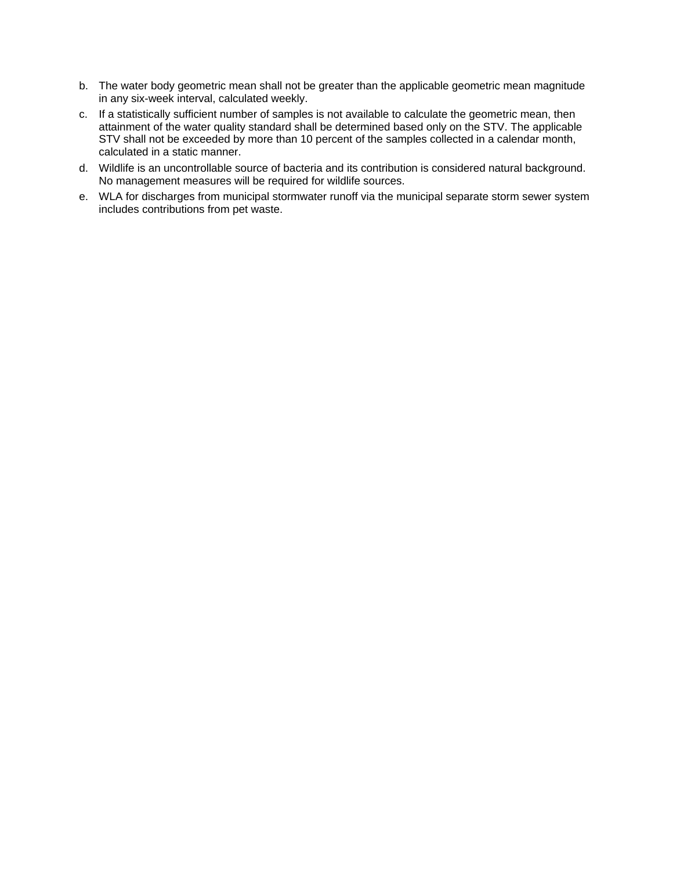- b. The water body geometric mean shall not be greater than the applicable geometric mean magnitude in any six-week interval, calculated weekly.
- c. If a statistically sufficient number of samples is not available to calculate the geometric mean, then attainment of the water quality standard shall be determined based only on the STV. The applicable STV shall not be exceeded by more than 10 percent of the samples collected in a calendar month, calculated in a static manner.
- d. Wildlife is an uncontrollable source of bacteria and its contribution is considered natural background. No management measures will be required for wildlife sources.
- e. WLA for discharges from municipal stormwater runoff via the municipal separate storm sewer system includes contributions from pet waste.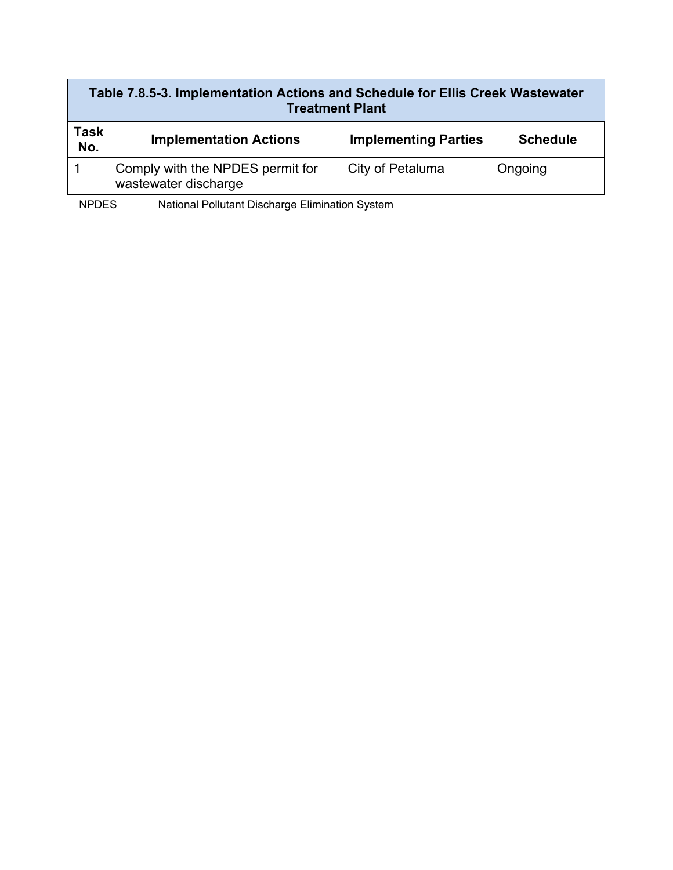| Table 7.8.5-3. Implementation Actions and Schedule for Ellis Creek Wastewater<br><b>Treatment Plant</b> |                                                          |                             |                 |
|---------------------------------------------------------------------------------------------------------|----------------------------------------------------------|-----------------------------|-----------------|
| Task<br>No.                                                                                             | <b>Implementation Actions</b>                            | <b>Implementing Parties</b> | <b>Schedule</b> |
|                                                                                                         | Comply with the NPDES permit for<br>wastewater discharge | City of Petaluma            | Ongoing         |

NPDES National Pollutant Discharge Elimination System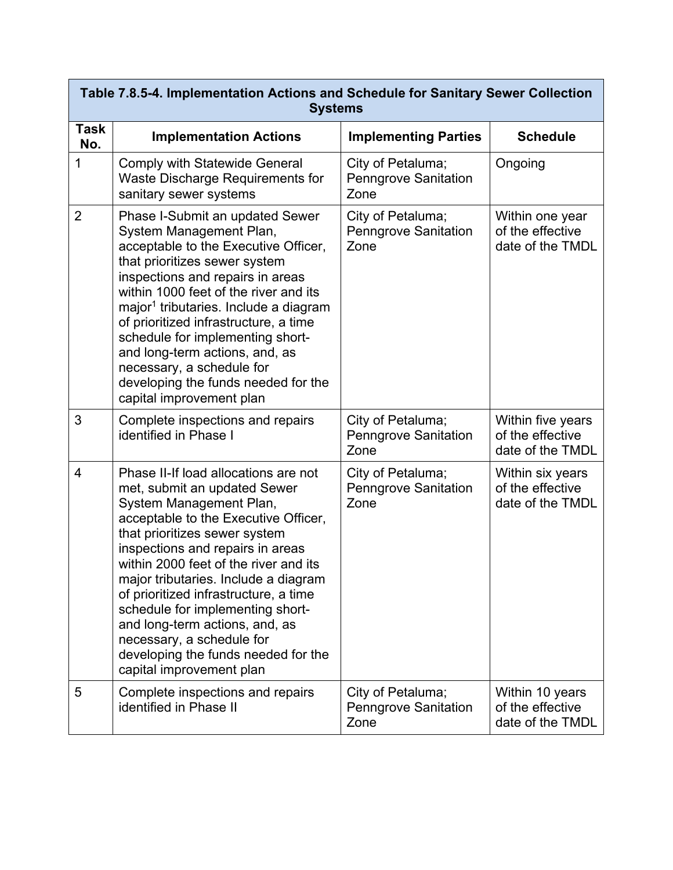|                    | Table 7.8.5-4. Implementation Actions and Schedule for Sanitary Sewer Collection<br><b>Systems</b>                                                                                                                                                                                                                                                                                                                                                                                                           |                                                          |                                                           |  |
|--------------------|--------------------------------------------------------------------------------------------------------------------------------------------------------------------------------------------------------------------------------------------------------------------------------------------------------------------------------------------------------------------------------------------------------------------------------------------------------------------------------------------------------------|----------------------------------------------------------|-----------------------------------------------------------|--|
| <b>Task</b><br>No. | <b>Implementation Actions</b>                                                                                                                                                                                                                                                                                                                                                                                                                                                                                | <b>Implementing Parties</b>                              | <b>Schedule</b>                                           |  |
| 1                  | <b>Comply with Statewide General</b><br>Waste Discharge Requirements for<br>sanitary sewer systems                                                                                                                                                                                                                                                                                                                                                                                                           | City of Petaluma;<br><b>Penngrove Sanitation</b><br>Zone | Ongoing                                                   |  |
| $\overline{2}$     | Phase I-Submit an updated Sewer<br>System Management Plan,<br>acceptable to the Executive Officer,<br>that prioritizes sewer system<br>inspections and repairs in areas<br>within 1000 feet of the river and its<br>major <sup>1</sup> tributaries. Include a diagram<br>of prioritized infrastructure, a time<br>schedule for implementing short-<br>and long-term actions, and, as<br>necessary, a schedule for<br>developing the funds needed for the<br>capital improvement plan                         | City of Petaluma;<br><b>Penngrove Sanitation</b><br>Zone | Within one year<br>of the effective<br>date of the TMDL   |  |
| 3                  | Complete inspections and repairs<br>identified in Phase I                                                                                                                                                                                                                                                                                                                                                                                                                                                    | City of Petaluma;<br><b>Penngrove Sanitation</b><br>Zone | Within five years<br>of the effective<br>date of the TMDL |  |
| 4                  | Phase II-If load allocations are not<br>met, submit an updated Sewer<br>System Management Plan,<br>acceptable to the Executive Officer,<br>that prioritizes sewer system<br>inspections and repairs in areas<br>within 2000 feet of the river and its<br>major tributaries. Include a diagram<br>of prioritized infrastructure, a time<br>schedule for implementing short-<br>and long-term actions, and, as<br>necessary, a schedule for<br>developing the funds needed for the<br>capital improvement plan | City of Petaluma;<br><b>Penngrove Sanitation</b><br>Zone | Within six years<br>of the effective<br>date of the TMDL  |  |
| 5                  | Complete inspections and repairs<br>identified in Phase II                                                                                                                                                                                                                                                                                                                                                                                                                                                   | City of Petaluma;<br><b>Penngrove Sanitation</b><br>Zone | Within 10 years<br>of the effective<br>date of the TMDL   |  |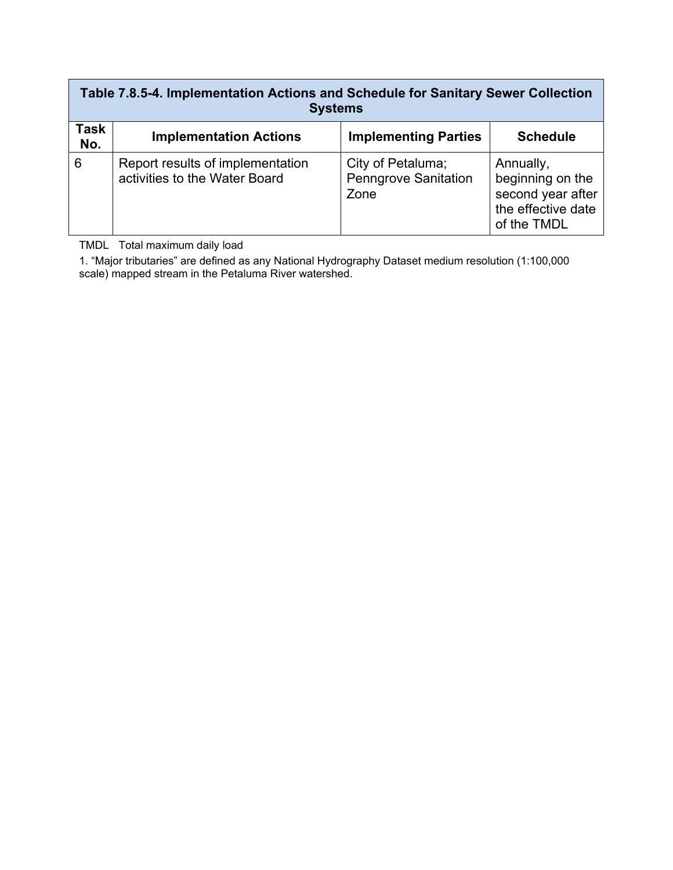### **Table 7.8.5-4. Implementation Actions and Schedule for Sanitary Sewer Collection Systems**

| _______     |                                                                   |                                                          |                                                                                         |
|-------------|-------------------------------------------------------------------|----------------------------------------------------------|-----------------------------------------------------------------------------------------|
| Task<br>No. | <b>Implementation Actions</b>                                     | <b>Implementing Parties</b>                              | <b>Schedule</b>                                                                         |
| 6           | Report results of implementation<br>activities to the Water Board | City of Petaluma;<br><b>Penngrove Sanitation</b><br>Zone | Annually,<br>beginning on the<br>second year after<br>the effective date<br>of the TMDL |

TMDL Total maximum daily load

1. "Major tributaries" are defined as any National Hydrography Dataset medium resolution (1:100,000 scale) mapped stream in the Petaluma River watershed.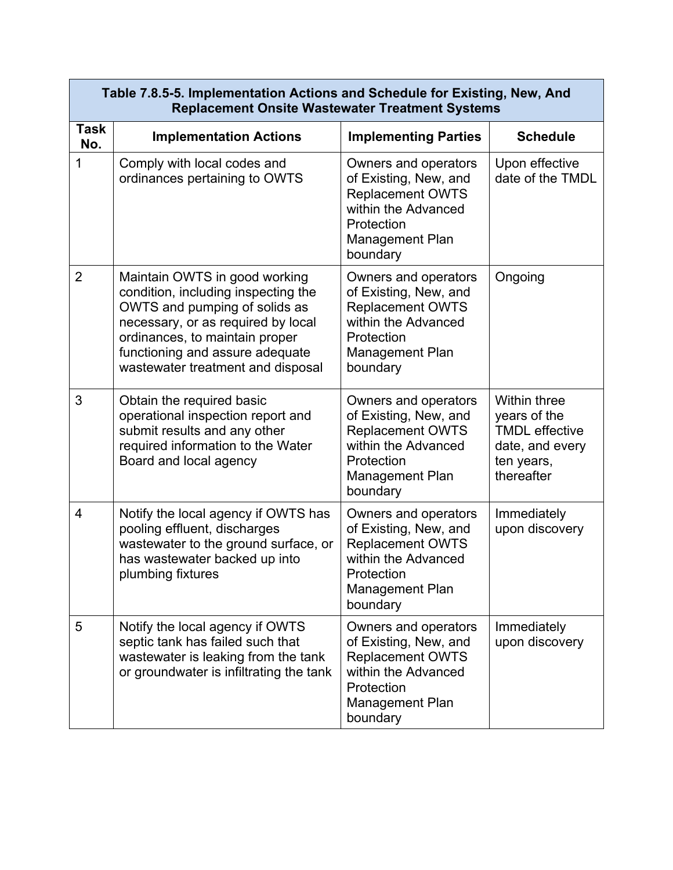|                    | Table 7.8.5-5. Implementation Actions and Schedule for Existing, New, And<br><b>Replacement Onsite Wastewater Treatment Systems</b>                                                                                                                   |                                                                                                                                                     |                                                                                                             |  |
|--------------------|-------------------------------------------------------------------------------------------------------------------------------------------------------------------------------------------------------------------------------------------------------|-----------------------------------------------------------------------------------------------------------------------------------------------------|-------------------------------------------------------------------------------------------------------------|--|
| <b>Task</b><br>No. | <b>Implementation Actions</b>                                                                                                                                                                                                                         | <b>Implementing Parties</b>                                                                                                                         | <b>Schedule</b>                                                                                             |  |
| 1                  | Comply with local codes and<br>ordinances pertaining to OWTS                                                                                                                                                                                          | Owners and operators<br>of Existing, New, and<br><b>Replacement OWTS</b><br>within the Advanced<br>Protection<br>Management Plan<br>boundary        | Upon effective<br>date of the TMDL                                                                          |  |
| $\overline{2}$     | Maintain OWTS in good working<br>condition, including inspecting the<br>OWTS and pumping of solids as<br>necessary, or as required by local<br>ordinances, to maintain proper<br>functioning and assure adequate<br>wastewater treatment and disposal | Owners and operators<br>of Existing, New, and<br><b>Replacement OWTS</b><br>within the Advanced<br>Protection<br><b>Management Plan</b><br>boundary | Ongoing                                                                                                     |  |
| 3                  | Obtain the required basic<br>operational inspection report and<br>submit results and any other<br>required information to the Water<br>Board and local agency                                                                                         | Owners and operators<br>of Existing, New, and<br><b>Replacement OWTS</b><br>within the Advanced<br>Protection<br>Management Plan<br>boundary        | <b>Within three</b><br>years of the<br><b>TMDL</b> effective<br>date, and every<br>ten years,<br>thereafter |  |
| $\overline{4}$     | Notify the local agency if OWTS has<br>pooling effluent, discharges<br>wastewater to the ground surface, or<br>has wastewater backed up into<br>plumbing fixtures                                                                                     | Owners and operators<br>of Existing, New, and<br><b>Replacement OWTS</b><br>within the Advanced<br>Protection<br><b>Management Plan</b><br>boundary | Immediately<br>upon discovery                                                                               |  |
| 5                  | Notify the local agency if OWTS<br>septic tank has failed such that<br>wastewater is leaking from the tank<br>or groundwater is infiltrating the tank                                                                                                 | Owners and operators<br>of Existing, New, and<br><b>Replacement OWTS</b><br>within the Advanced<br>Protection<br>Management Plan<br>boundary        | Immediately<br>upon discovery                                                                               |  |

# **Table 7.8.5-5. Implementation Actions and Schedule for Existing, New, And**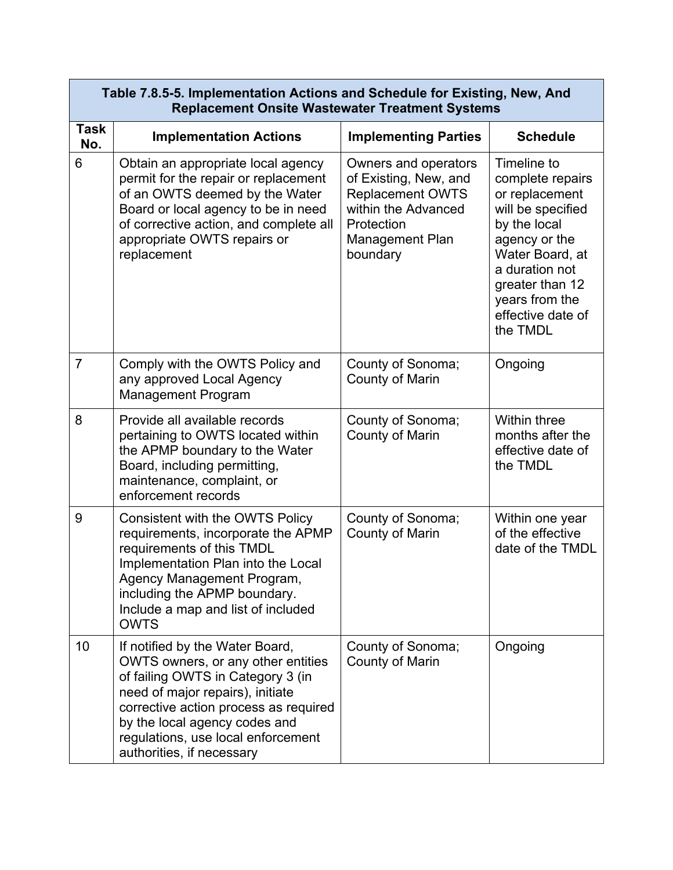|                    | Table 7.8.5-5. Implementation Actions and Schedule for Existing, New, And<br><b>Replacement Onsite Wastewater Treatment Systems</b>                                                                                                                                                         |                                                                                                                                                     |                                                                                                                                                                                                                    |  |
|--------------------|---------------------------------------------------------------------------------------------------------------------------------------------------------------------------------------------------------------------------------------------------------------------------------------------|-----------------------------------------------------------------------------------------------------------------------------------------------------|--------------------------------------------------------------------------------------------------------------------------------------------------------------------------------------------------------------------|--|
| <b>Task</b><br>No. | <b>Implementation Actions</b>                                                                                                                                                                                                                                                               | <b>Implementing Parties</b>                                                                                                                         | <b>Schedule</b>                                                                                                                                                                                                    |  |
| 6                  | Obtain an appropriate local agency<br>permit for the repair or replacement<br>of an OWTS deemed by the Water<br>Board or local agency to be in need<br>of corrective action, and complete all<br>appropriate OWTS repairs or<br>replacement                                                 | Owners and operators<br>of Existing, New, and<br><b>Replacement OWTS</b><br>within the Advanced<br>Protection<br><b>Management Plan</b><br>boundary | Timeline to<br>complete repairs<br>or replacement<br>will be specified<br>by the local<br>agency or the<br>Water Board, at<br>a duration not<br>greater than 12<br>years from the<br>effective date of<br>the TMDL |  |
| $\overline{7}$     | Comply with the OWTS Policy and<br>any approved Local Agency<br><b>Management Program</b>                                                                                                                                                                                                   | County of Sonoma;<br><b>County of Marin</b>                                                                                                         | Ongoing                                                                                                                                                                                                            |  |
| 8                  | Provide all available records<br>pertaining to OWTS located within<br>the APMP boundary to the Water<br>Board, including permitting,<br>maintenance, complaint, or<br>enforcement records                                                                                                   | County of Sonoma;<br><b>County of Marin</b>                                                                                                         | <b>Within three</b><br>months after the<br>effective date of<br>the TMDL                                                                                                                                           |  |
| 9                  | <b>Consistent with the OWTS Policy</b><br>requirements, incorporate the APMP<br>requirements of this TMDL<br>Implementation Plan into the Local<br>Agency Management Program,<br>including the APMP boundary.<br>Include a map and list of included<br><b>OWTS</b>                          | County of Sonoma;<br><b>County of Marin</b>                                                                                                         | Within one year<br>of the effective<br>date of the TMDL                                                                                                                                                            |  |
| 10                 | If notified by the Water Board,<br>OWTS owners, or any other entities<br>of failing OWTS in Category 3 (in<br>need of major repairs), initiate<br>corrective action process as required<br>by the local agency codes and<br>regulations, use local enforcement<br>authorities, if necessary | County of Sonoma;<br>County of Marin                                                                                                                | Ongoing                                                                                                                                                                                                            |  |

 $\overline{\phantom{a}}$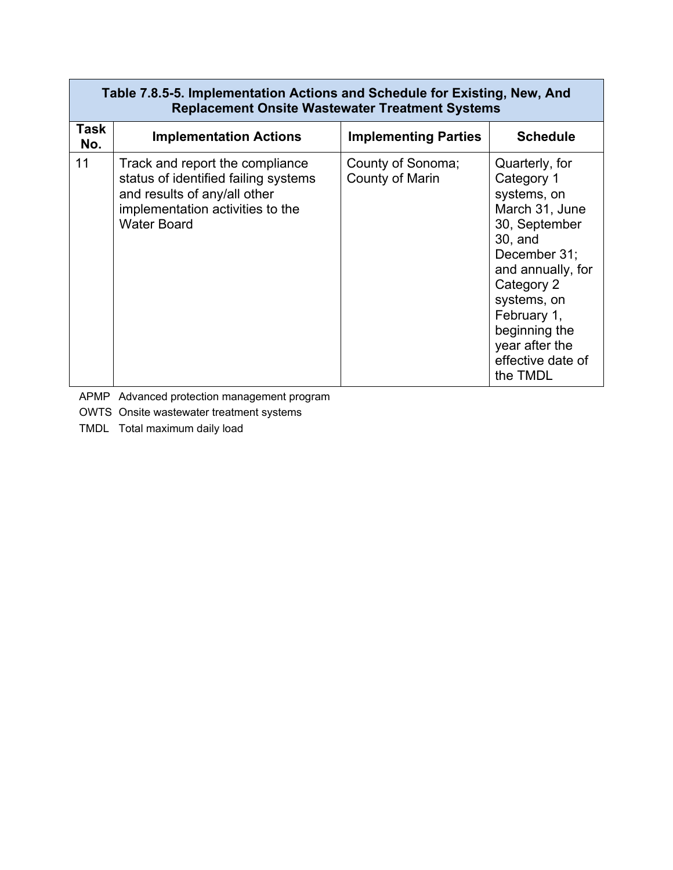| Table 7.8.5-5. Implementation Actions and Schedule for Existing, New, And<br><b>Replacement Onsite Wastewater Treatment Systems</b> |                                                                                                                                                                   |                                             |                                                                                                                                                                                                                                                |
|-------------------------------------------------------------------------------------------------------------------------------------|-------------------------------------------------------------------------------------------------------------------------------------------------------------------|---------------------------------------------|------------------------------------------------------------------------------------------------------------------------------------------------------------------------------------------------------------------------------------------------|
| Task<br>No.                                                                                                                         | <b>Implementation Actions</b>                                                                                                                                     | <b>Implementing Parties</b>                 | <b>Schedule</b>                                                                                                                                                                                                                                |
| 11                                                                                                                                  | Track and report the compliance<br>status of identified failing systems<br>and results of any/all other<br>implementation activities to the<br><b>Water Board</b> | County of Sonoma;<br><b>County of Marin</b> | Quarterly, for<br>Category 1<br>systems, on<br>March 31, June<br>30, September<br>30, and<br>December 31;<br>and annually, for<br>Category 2<br>systems, on<br>February 1,<br>beginning the<br>year after the<br>effective date of<br>the TMDL |

APMP Advanced protection management program

OWTS Onsite wastewater treatment systems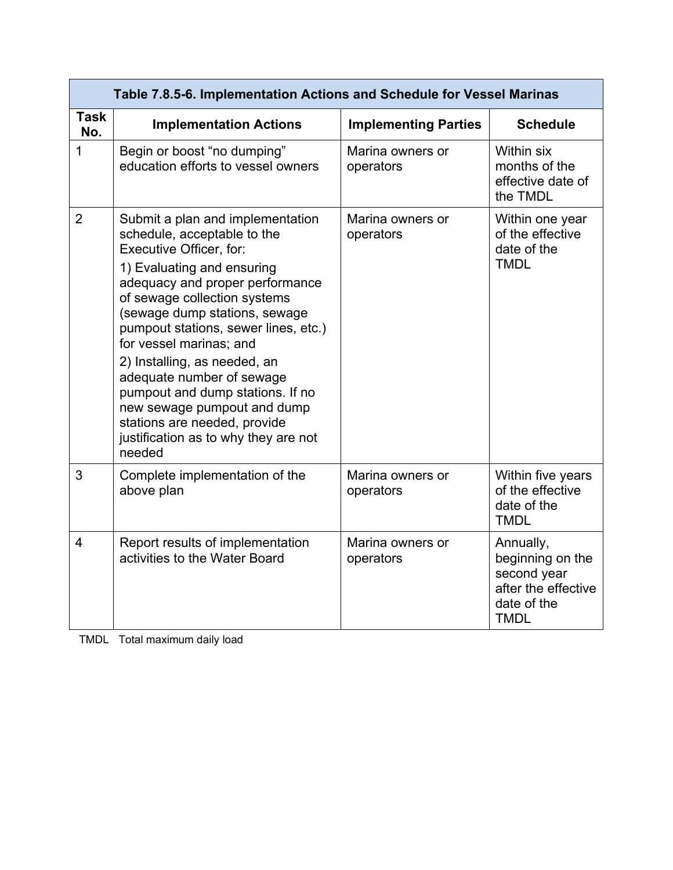|                    | Table 7.8.5-6. Implementation Actions and Schedule for Vessel Marinas                                                                                                                                                                                                                                                                                                                                                                                                                                             |                               |                                                                                                   |  |
|--------------------|-------------------------------------------------------------------------------------------------------------------------------------------------------------------------------------------------------------------------------------------------------------------------------------------------------------------------------------------------------------------------------------------------------------------------------------------------------------------------------------------------------------------|-------------------------------|---------------------------------------------------------------------------------------------------|--|
| <b>Task</b><br>No. | <b>Implementation Actions</b>                                                                                                                                                                                                                                                                                                                                                                                                                                                                                     | <b>Implementing Parties</b>   | <b>Schedule</b>                                                                                   |  |
| 1                  | Begin or boost "no dumping"<br>education efforts to vessel owners                                                                                                                                                                                                                                                                                                                                                                                                                                                 | Marina owners or<br>operators | Within six<br>months of the<br>effective date of<br>the TMDL                                      |  |
| $\overline{2}$     | Submit a plan and implementation<br>schedule, acceptable to the<br>Executive Officer, for:<br>1) Evaluating and ensuring<br>adequacy and proper performance<br>of sewage collection systems<br>(sewage dump stations, sewage<br>pumpout stations, sewer lines, etc.)<br>for vessel marinas; and<br>2) Installing, as needed, an<br>adequate number of sewage<br>pumpout and dump stations. If no<br>new sewage pumpout and dump<br>stations are needed, provide<br>justification as to why they are not<br>needed | Marina owners or<br>operators | Within one year<br>of the effective<br>date of the<br><b>TMDL</b>                                 |  |
| 3                  | Complete implementation of the<br>above plan                                                                                                                                                                                                                                                                                                                                                                                                                                                                      | Marina owners or<br>operators | Within five years<br>of the effective<br>date of the<br><b>TMDL</b>                               |  |
| 4                  | Report results of implementation<br>activities to the Water Board                                                                                                                                                                                                                                                                                                                                                                                                                                                 | Marina owners or<br>operators | Annually,<br>beginning on the<br>second year<br>after the effective<br>date of the<br><b>TMDL</b> |  |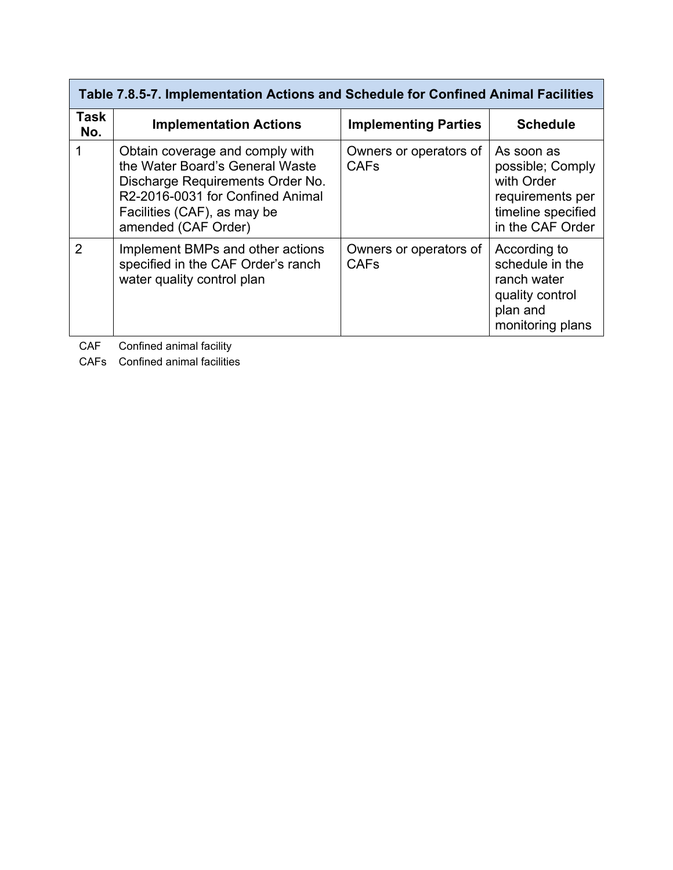## **Table 7.8.5-7. Implementation Actions and Schedule for Confined Animal Facilities**

| Task<br>No.    | <b>Implementation Actions</b>                                                                                                                                                                    | <b>Implementing Parties</b>           | <b>Schedule</b>                                                                                            |
|----------------|--------------------------------------------------------------------------------------------------------------------------------------------------------------------------------------------------|---------------------------------------|------------------------------------------------------------------------------------------------------------|
|                | Obtain coverage and comply with<br>the Water Board's General Waste<br>Discharge Requirements Order No.<br>R2-2016-0031 for Confined Animal<br>Facilities (CAF), as may be<br>amended (CAF Order) | Owners or operators of<br><b>CAFs</b> | As soon as<br>possible; Comply<br>with Order<br>requirements per<br>timeline specified<br>in the CAF Order |
| $\overline{2}$ | Implement BMPs and other actions<br>specified in the CAF Order's ranch<br>water quality control plan                                                                                             | Owners or operators of<br><b>CAFs</b> | According to<br>schedule in the<br>ranch water<br>quality control<br>plan and<br>monitoring plans          |

CAF Confined animal facility

CAFs Confined animal facilities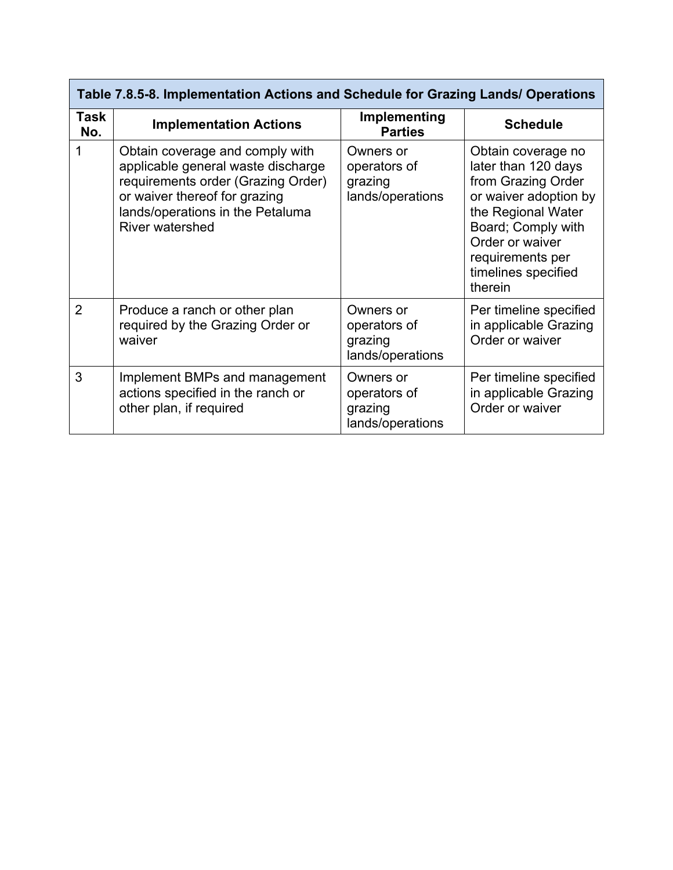| Table 7.8.5-8. Implementation Actions and Schedule for Grazing Lands/ Operations |                                                                                                                                                                                                            |                                                          |                                                                                                                                                                                                               |  |
|----------------------------------------------------------------------------------|------------------------------------------------------------------------------------------------------------------------------------------------------------------------------------------------------------|----------------------------------------------------------|---------------------------------------------------------------------------------------------------------------------------------------------------------------------------------------------------------------|--|
| Task<br>No.                                                                      | <b>Implementation Actions</b>                                                                                                                                                                              | Implementing<br><b>Parties</b>                           | <b>Schedule</b>                                                                                                                                                                                               |  |
|                                                                                  | Obtain coverage and comply with<br>applicable general waste discharge<br>requirements order (Grazing Order)<br>or waiver thereof for grazing<br>lands/operations in the Petaluma<br><b>River watershed</b> | Owners or<br>operators of<br>grazing<br>lands/operations | Obtain coverage no<br>later than 120 days<br>from Grazing Order<br>or waiver adoption by<br>the Regional Water<br>Board; Comply with<br>Order or waiver<br>requirements per<br>timelines specified<br>therein |  |
| $\overline{2}$                                                                   | Produce a ranch or other plan<br>required by the Grazing Order or<br>waiver                                                                                                                                | Owners or<br>operators of<br>grazing<br>lands/operations | Per timeline specified<br>in applicable Grazing<br>Order or waiver                                                                                                                                            |  |
| 3                                                                                | Implement BMPs and management<br>actions specified in the ranch or<br>other plan, if required                                                                                                              | Owners or<br>operators of<br>grazing<br>lands/operations | Per timeline specified<br>in applicable Grazing<br>Order or waiver                                                                                                                                            |  |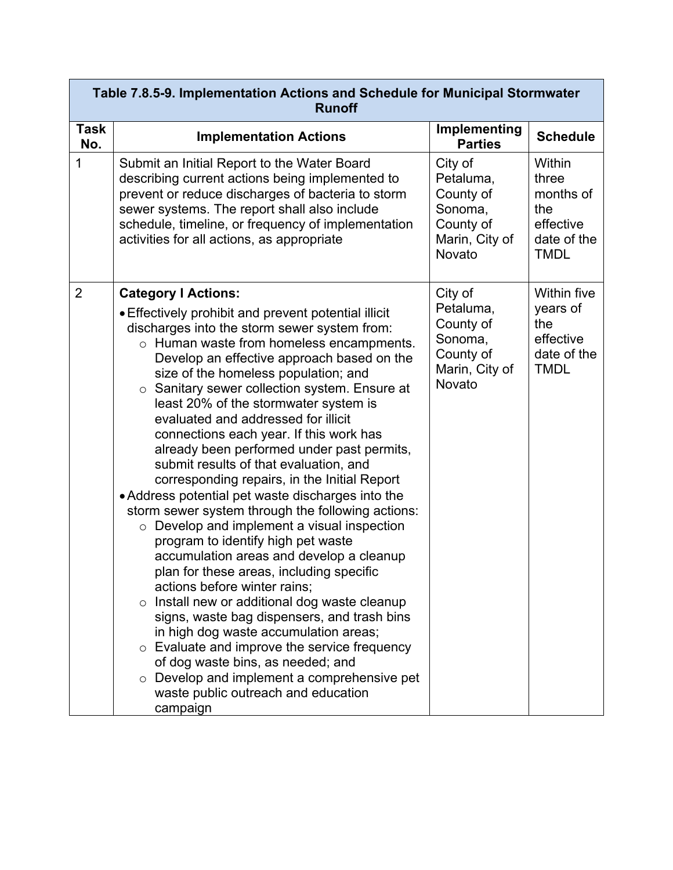|                    | Table 7.8.5-9. Implementation Actions and Schedule for Municipal Stormwater<br><b>Runoff</b>                                                                                                                                                                                                                                                                                                                                                                                                                                                                                                                                                                                                                                                                                                                                                                                                                                                                                                                                                                                                                                                                                                                                                                            |                                                                                       |                                                                                  |  |
|--------------------|-------------------------------------------------------------------------------------------------------------------------------------------------------------------------------------------------------------------------------------------------------------------------------------------------------------------------------------------------------------------------------------------------------------------------------------------------------------------------------------------------------------------------------------------------------------------------------------------------------------------------------------------------------------------------------------------------------------------------------------------------------------------------------------------------------------------------------------------------------------------------------------------------------------------------------------------------------------------------------------------------------------------------------------------------------------------------------------------------------------------------------------------------------------------------------------------------------------------------------------------------------------------------|---------------------------------------------------------------------------------------|----------------------------------------------------------------------------------|--|
| <b>Task</b><br>No. | <b>Implementation Actions</b>                                                                                                                                                                                                                                                                                                                                                                                                                                                                                                                                                                                                                                                                                                                                                                                                                                                                                                                                                                                                                                                                                                                                                                                                                                           | Implementing<br><b>Parties</b>                                                        | <b>Schedule</b>                                                                  |  |
| 1                  | Submit an Initial Report to the Water Board<br>describing current actions being implemented to<br>prevent or reduce discharges of bacteria to storm<br>sewer systems. The report shall also include<br>schedule, timeline, or frequency of implementation<br>activities for all actions, as appropriate                                                                                                                                                                                                                                                                                                                                                                                                                                                                                                                                                                                                                                                                                                                                                                                                                                                                                                                                                                 | City of<br>Petaluma,<br>County of<br>Sonoma,<br>County of<br>Marin, City of<br>Novato | Within<br>three<br>months of<br>the<br>effective<br>date of the<br><b>TMDL</b>   |  |
| $\overline{2}$     | <b>Category I Actions:</b><br>• Effectively prohibit and prevent potential illicit<br>discharges into the storm sewer system from:<br>o Human waste from homeless encampments.<br>Develop an effective approach based on the<br>size of the homeless population; and<br>o Sanitary sewer collection system. Ensure at<br>least 20% of the stormwater system is<br>evaluated and addressed for illicit<br>connections each year. If this work has<br>already been performed under past permits,<br>submit results of that evaluation, and<br>corresponding repairs, in the Initial Report<br>• Address potential pet waste discharges into the<br>storm sewer system through the following actions:<br>$\circ$ Develop and implement a visual inspection<br>program to identify high pet waste<br>accumulation areas and develop a cleanup<br>plan for these areas, including specific<br>actions before winter rains;<br>Install new or additional dog waste cleanup<br>$\circ$<br>signs, waste bag dispensers, and trash bins<br>in high dog waste accumulation areas;<br>o Evaluate and improve the service frequency<br>of dog waste bins, as needed; and<br>Develop and implement a comprehensive pet<br>$\circ$<br>waste public outreach and education<br>campaign | City of<br>Petaluma,<br>County of<br>Sonoma,<br>County of<br>Marin, City of<br>Novato | <b>Within five</b><br>years of<br>the<br>effective<br>date of the<br><b>TMDL</b> |  |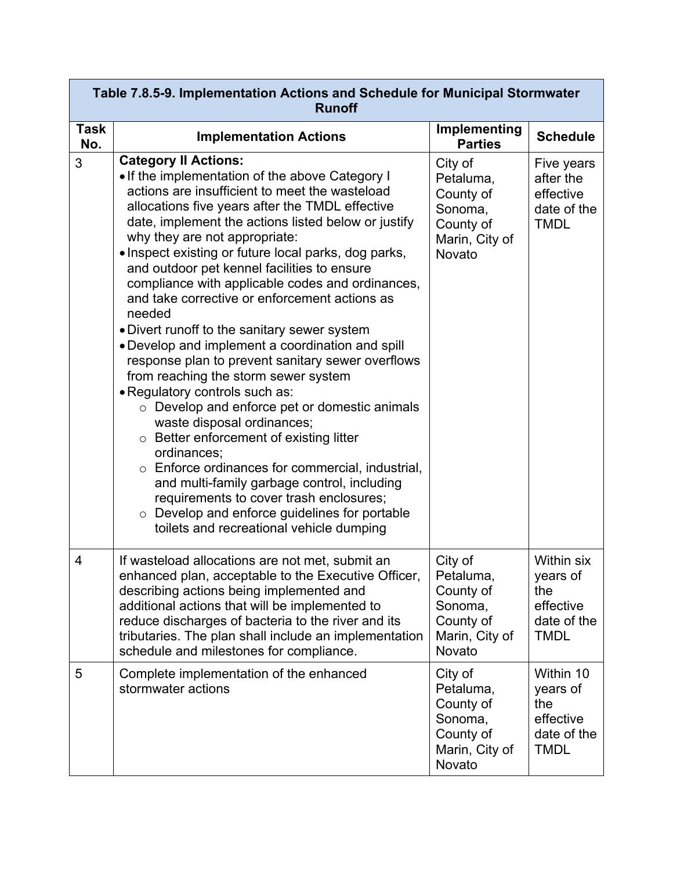| Table 7.8.5-9. Implementation Actions and Schedule for Municipal Stormwater<br><b>Runoff</b> |                                                                                                                                                                                                                                                                                                                                                                                                                                                                                                                                                                                                                                                                                                                                                                                                                                                                                                                                                                                                                                                                                                                                                  |                                                                                       |                                                                                 |  |  |  |
|----------------------------------------------------------------------------------------------|--------------------------------------------------------------------------------------------------------------------------------------------------------------------------------------------------------------------------------------------------------------------------------------------------------------------------------------------------------------------------------------------------------------------------------------------------------------------------------------------------------------------------------------------------------------------------------------------------------------------------------------------------------------------------------------------------------------------------------------------------------------------------------------------------------------------------------------------------------------------------------------------------------------------------------------------------------------------------------------------------------------------------------------------------------------------------------------------------------------------------------------------------|---------------------------------------------------------------------------------------|---------------------------------------------------------------------------------|--|--|--|
| <b>Task</b><br>No.                                                                           | <b>Implementation Actions</b>                                                                                                                                                                                                                                                                                                                                                                                                                                                                                                                                                                                                                                                                                                                                                                                                                                                                                                                                                                                                                                                                                                                    | Implementing<br><b>Parties</b>                                                        | <b>Schedule</b>                                                                 |  |  |  |
| 3                                                                                            | <b>Category II Actions:</b><br>• If the implementation of the above Category I<br>actions are insufficient to meet the wasteload<br>allocations five years after the TMDL effective<br>date, implement the actions listed below or justify<br>why they are not appropriate:<br>• Inspect existing or future local parks, dog parks,<br>and outdoor pet kennel facilities to ensure<br>compliance with applicable codes and ordinances,<br>and take corrective or enforcement actions as<br>needed<br>• Divert runoff to the sanitary sewer system<br>• Develop and implement a coordination and spill<br>response plan to prevent sanitary sewer overflows<br>from reaching the storm sewer system<br>• Regulatory controls such as:<br>$\circ$ Develop and enforce pet or domestic animals<br>waste disposal ordinances;<br>$\circ$ Better enforcement of existing litter<br>ordinances;<br>$\circ$ Enforce ordinances for commercial, industrial,<br>and multi-family garbage control, including<br>requirements to cover trash enclosures;<br>$\circ$ Develop and enforce guidelines for portable<br>toilets and recreational vehicle dumping | City of<br>Petaluma,<br>County of<br>Sonoma,<br>County of<br>Marin, City of<br>Novato | Five years<br>after the<br>effective<br>date of the<br><b>TMDL</b>              |  |  |  |
| $\overline{4}$                                                                               | If wasteload allocations are not met, submit an<br>enhanced plan, acceptable to the Executive Officer,<br>describing actions being implemented and<br>additional actions that will be implemented to<br>reduce discharges of bacteria to the river and its<br>tributaries. The plan shall include an implementation<br>schedule and milestones for compliance.                                                                                                                                                                                                                                                                                                                                                                                                                                                                                                                                                                                                                                                                                                                                                                                   | City of<br>Petaluma,<br>County of<br>Sonoma,<br>County of<br>Marin, City of<br>Novato | <b>Within six</b><br>years of<br>the<br>effective<br>date of the<br><b>TMDL</b> |  |  |  |
| 5                                                                                            | Complete implementation of the enhanced<br>stormwater actions                                                                                                                                                                                                                                                                                                                                                                                                                                                                                                                                                                                                                                                                                                                                                                                                                                                                                                                                                                                                                                                                                    | City of<br>Petaluma,<br>County of<br>Sonoma,<br>County of<br>Marin, City of<br>Novato | Within 10<br>years of<br>the<br>effective<br>date of the<br><b>TMDL</b>         |  |  |  |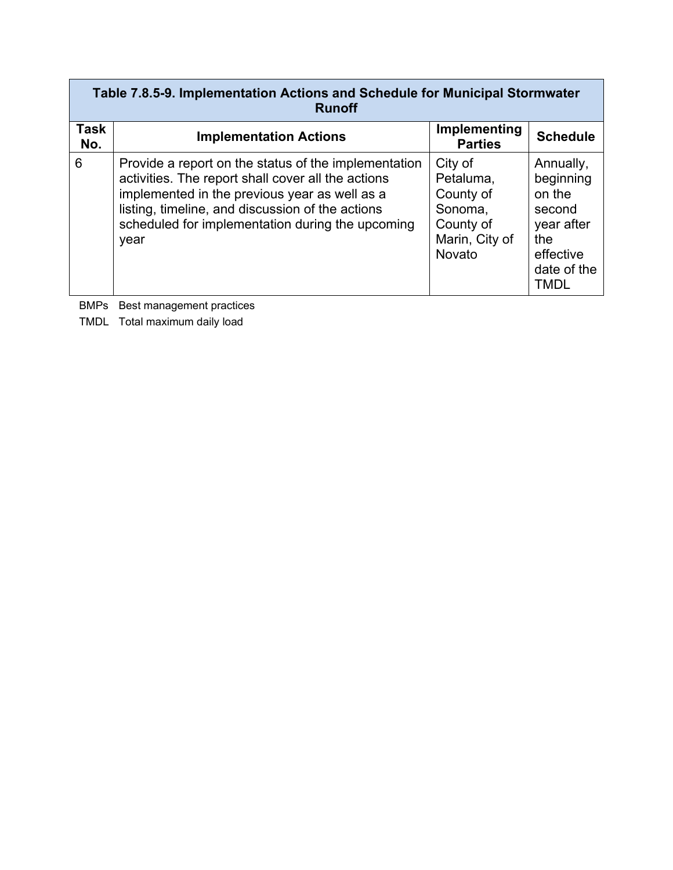| Table 7.8.5-9. Implementation Actions and Schedule for Municipal Stormwater<br><b>Runoff</b> |                                                                                                                                                                                                                                                                             |                                                                                       |                                                                                                            |  |  |  |
|----------------------------------------------------------------------------------------------|-----------------------------------------------------------------------------------------------------------------------------------------------------------------------------------------------------------------------------------------------------------------------------|---------------------------------------------------------------------------------------|------------------------------------------------------------------------------------------------------------|--|--|--|
| Task<br>No.                                                                                  | <b>Implementation Actions</b>                                                                                                                                                                                                                                               | Implementing<br><b>Parties</b>                                                        | <b>Schedule</b>                                                                                            |  |  |  |
| 6                                                                                            | Provide a report on the status of the implementation<br>activities. The report shall cover all the actions<br>implemented in the previous year as well as a<br>listing, timeline, and discussion of the actions<br>scheduled for implementation during the upcoming<br>year | City of<br>Petaluma,<br>County of<br>Sonoma,<br>County of<br>Marin, City of<br>Novato | Annually,<br>beginning<br>on the<br>second<br>year after<br>the<br>effective<br>date of the<br><b>TMDL</b> |  |  |  |

BMPs Best management practices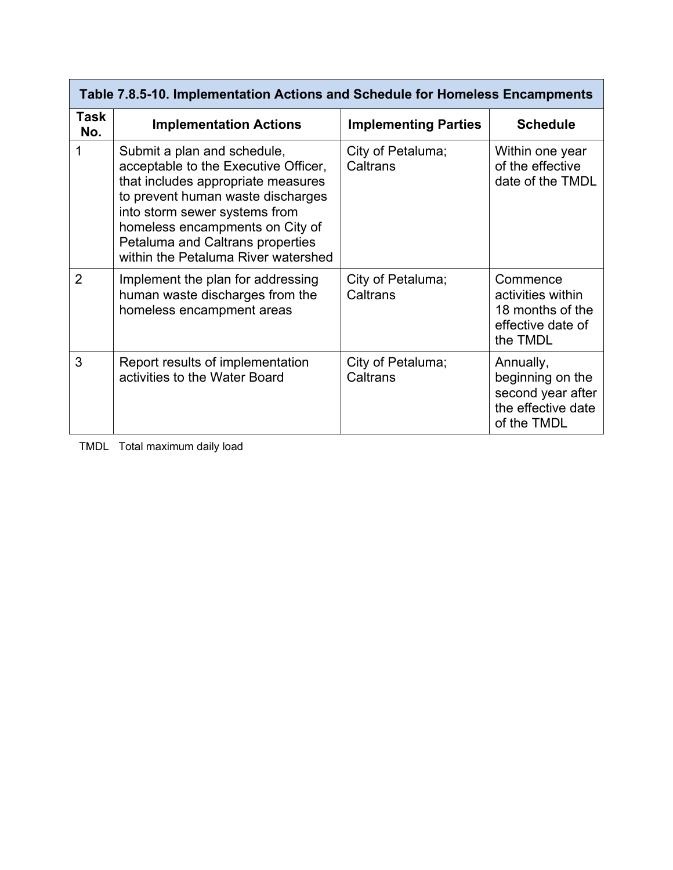| Table 7.8.5-10. Implementation Actions and Schedule for Homeless Encampments |                                                                                                                                                                                                                                                                                               |                               |                                                                                         |  |  |  |
|------------------------------------------------------------------------------|-----------------------------------------------------------------------------------------------------------------------------------------------------------------------------------------------------------------------------------------------------------------------------------------------|-------------------------------|-----------------------------------------------------------------------------------------|--|--|--|
| Task<br>No.                                                                  | <b>Implementation Actions</b>                                                                                                                                                                                                                                                                 | <b>Implementing Parties</b>   | <b>Schedule</b>                                                                         |  |  |  |
|                                                                              | Submit a plan and schedule,<br>acceptable to the Executive Officer,<br>that includes appropriate measures<br>to prevent human waste discharges<br>into storm sewer systems from<br>homeless encampments on City of<br>Petaluma and Caltrans properties<br>within the Petaluma River watershed | City of Petaluma;<br>Caltrans | Within one year<br>of the effective<br>date of the TMDL                                 |  |  |  |
| $\overline{2}$                                                               | Implement the plan for addressing<br>human waste discharges from the<br>homeless encampment areas                                                                                                                                                                                             | City of Petaluma;<br>Caltrans | Commence<br>activities within<br>18 months of the<br>effective date of<br>the TMDL      |  |  |  |
| 3                                                                            | Report results of implementation<br>activities to the Water Board                                                                                                                                                                                                                             | City of Petaluma;<br>Caltrans | Annually,<br>beginning on the<br>second year after<br>the effective date<br>of the TMDL |  |  |  |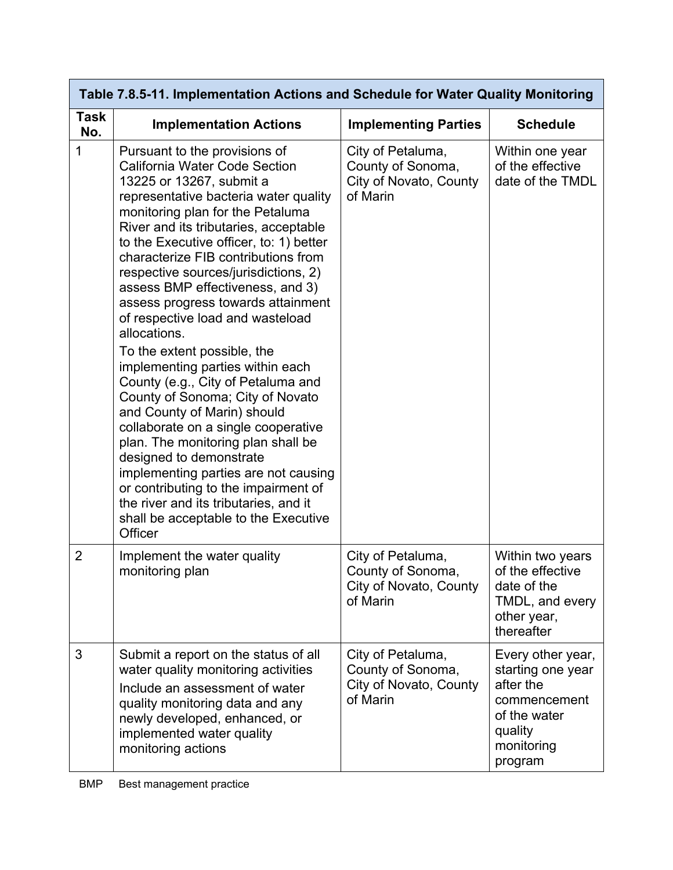| Table 7.8.5-11. Implementation Actions and Schedule for Water Quality Monitoring |                                                                                                                                                                                                                                                                                                                                                                                                                                                                                                                                                                                                                                                                                                                                                                                                                                                                                                                                                 |                                                                              |                                                                                                                         |  |  |  |
|----------------------------------------------------------------------------------|-------------------------------------------------------------------------------------------------------------------------------------------------------------------------------------------------------------------------------------------------------------------------------------------------------------------------------------------------------------------------------------------------------------------------------------------------------------------------------------------------------------------------------------------------------------------------------------------------------------------------------------------------------------------------------------------------------------------------------------------------------------------------------------------------------------------------------------------------------------------------------------------------------------------------------------------------|------------------------------------------------------------------------------|-------------------------------------------------------------------------------------------------------------------------|--|--|--|
| <b>Task</b><br>No.                                                               | <b>Implementation Actions</b>                                                                                                                                                                                                                                                                                                                                                                                                                                                                                                                                                                                                                                                                                                                                                                                                                                                                                                                   | <b>Implementing Parties</b>                                                  | <b>Schedule</b>                                                                                                         |  |  |  |
| 1                                                                                | Pursuant to the provisions of<br><b>California Water Code Section</b><br>13225 or 13267, submit a<br>representative bacteria water quality<br>monitoring plan for the Petaluma<br>River and its tributaries, acceptable<br>to the Executive officer, to: 1) better<br>characterize FIB contributions from<br>respective sources/jurisdictions, 2)<br>assess BMP effectiveness, and 3)<br>assess progress towards attainment<br>of respective load and wasteload<br>allocations.<br>To the extent possible, the<br>implementing parties within each<br>County (e.g., City of Petaluma and<br>County of Sonoma; City of Novato<br>and County of Marin) should<br>collaborate on a single cooperative<br>plan. The monitoring plan shall be<br>designed to demonstrate<br>implementing parties are not causing<br>or contributing to the impairment of<br>the river and its tributaries, and it<br>shall be acceptable to the Executive<br>Officer | City of Petaluma,<br>County of Sonoma,<br>City of Novato, County<br>of Marin | Within one year<br>of the effective<br>date of the TMDL                                                                 |  |  |  |
| 2                                                                                | Implement the water quality<br>monitoring plan                                                                                                                                                                                                                                                                                                                                                                                                                                                                                                                                                                                                                                                                                                                                                                                                                                                                                                  | City of Petaluma,<br>County of Sonoma,<br>City of Novato, County<br>of Marin | Within two years<br>of the effective<br>date of the<br>TMDL, and every<br>other year,<br>thereafter                     |  |  |  |
| 3                                                                                | Submit a report on the status of all<br>water quality monitoring activities<br>Include an assessment of water<br>quality monitoring data and any<br>newly developed, enhanced, or<br>implemented water quality<br>monitoring actions                                                                                                                                                                                                                                                                                                                                                                                                                                                                                                                                                                                                                                                                                                            | City of Petaluma,<br>County of Sonoma,<br>City of Novato, County<br>of Marin | Every other year,<br>starting one year<br>after the<br>commencement<br>of the water<br>quality<br>monitoring<br>program |  |  |  |

#### BMP Best management practice